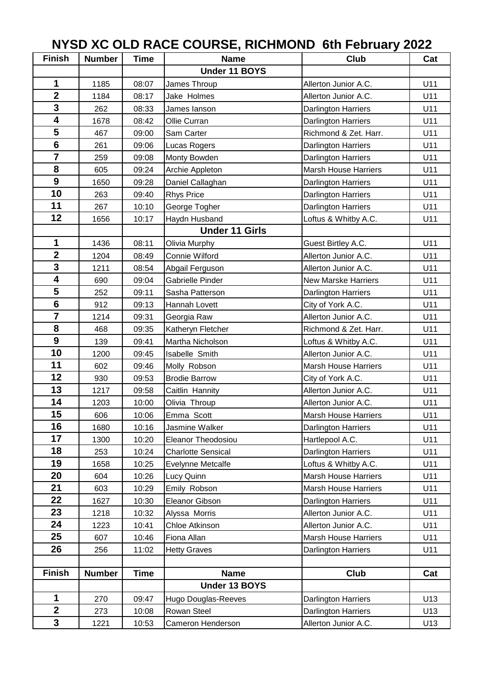## **Finish Number Time Name Club Cat Under 11 BOYS** | 1185 | 08:07 | James Throup **Allerton Junior A.C.** | U11 | 1184 | 08:17 | Jake Holmes | Allerton Junior A.C. | U11 | 262 | 08:33 | James Ianson | Darlington Harriers | U11 1678 08:42 Ollie Curran **Darlington Harriers** 1 U11 467 09:00 Sam Carter Richmond & Zet. Harr. 1 U11 261 09:06 Lucas Rogers **Darlington Harriers** U11 | 259 | 09:08 | Monty Bowden | Darlington Harriers | U11 605 09:24 Archie Appleton Marsh House Harriers 1011 1650 09:28 Daniel Callaghan **Darlington Harriers** 1011 | 263 | 09:40 Rhys Price | Darlington Harriers | U11 267 10:10 George Togher **Darlington Harriers** 1011 | 1656 | 10:17 | Haydn Husband | Loftus & Whitby A.C. | U11 **Under 11 Girls** | 1436 | 08:11 | Olivia Murphy | Guest Birtley A.C. | U11 1204 08:49 Connie Wilford Allerton Junior A.C. 1 U11 1 1211 08:54 Abgail Ferguson **Allerton Junior A.C.** 1 U11 **690** 09:04 Gabrielle Pinder New Marske Harriers 1011 | 252 | 09:11 | Sasha Patterson | Darlington Harriers | U11 912 09:13 Hannah Lovett City of York A.C. 1 U11 | 1214 | 09:31 | Georgia Raw | Allerton Junior A.C. | U11 468 09:35 Katheryn Fletcher Richmond & Zet. Harr. 1 U11 139 09:41 Martha Nicholson Loftus & Whitby A.C. 1 U11 | 1200 | 09:45 | Isabelle Smith **Allerton Junior A.C.** | U11 602 09:46 Molly Robson Marsh House Harriers U11 930 09:53 Brodie Barrow City of York A.C. U11 | 1217 | 09:58 Caitlin Hannity | Allerton Junior A.C. | U11 1203 10:00 Olivia Throup Allerton Junior A.C. 1 U11 **1** 606 **1** 10:06 **Emma Scott 1 Marsh House Harriers** 1 U11 | 1680 | 10:16 | Jasmine Walker | Darlington Harriers | U11 1300 10:20 Eleanor Theodosiou **Hartlepool A.C.** U11 | 253 | 10:24 Charlotte Sensical | Darlington Harriers | U11 1658 10:25 Evelynne Metcalfe **Loftus & Whitby A.C.** 1 U11 604 10:26 Lucy Quinn Marsh House Harriers U11 **603** 10:29 **Emily Robson** Marsh House Harriers 1 U11 1627 10:30 Eleanor Gibson Darlington Harriers 1011 | 1218 | 10:32 | Alyssa Morris | Allerton Junior A.C. | U11 1223 10:41 Chloe Atkinson **Allerton Junior A.C.** 1011 607 10:46 Fiona Allan Marsh House Harriers 1011 | 256 | 11:02 | Hetty Graves | Darlington Harriers | U11 **Finish Number Time Name Club Cat Under 13 BOYS** | 270 | 09:47 | Hugo Douglas-Reeves | Darlington Harriers | U13 | 273 | 10:08 | Rowan Steel | Darlington Harriers | U13 1221 10:53 Cameron Henderson Allerton Junior A.C. 1 U13 **NYSD XC OLD RACE COURSE, RICHMOND 6th February 2022**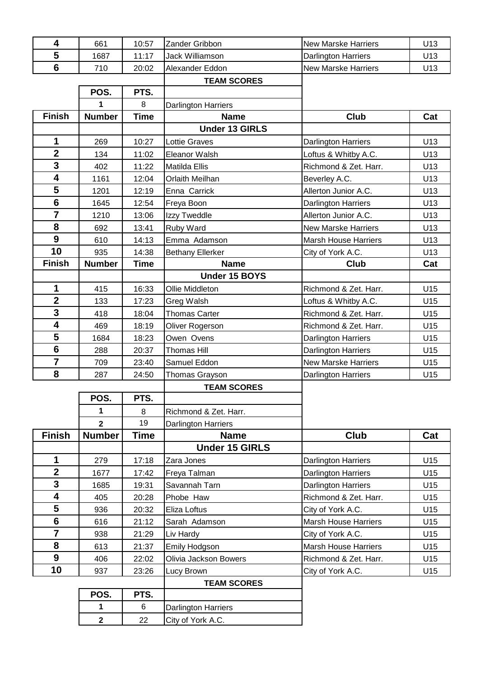| 4                       | 661                     | 10:57       | Zander Gribbon             | <b>New Marske Harriers</b>  | U <sub>13</sub> |
|-------------------------|-------------------------|-------------|----------------------------|-----------------------------|-----------------|
| 5                       | 1687                    | 11:17       | Jack Williamson            | <b>Darlington Harriers</b>  | U13             |
| $6\phantom{1}6$         | 710                     | 20:02       | Alexander Eddon            | <b>New Marske Harriers</b>  | U13             |
|                         |                         |             | <b>TEAM SCORES</b>         |                             |                 |
|                         | POS.                    | PTS.        |                            |                             |                 |
|                         | 1                       | 8           | Darlington Harriers        |                             |                 |
| <b>Finish</b>           | <b>Number</b>           | <b>Time</b> | <b>Name</b>                | <b>Club</b>                 | Cat             |
|                         |                         |             | <b>Under 13 GIRLS</b>      |                             |                 |
| 1                       | 269                     | 10:27       | <b>Lottie Graves</b>       | Darlington Harriers         | U13             |
| $\mathbf{2}$            | 134                     | 11:02       | Eleanor Walsh              | Loftus & Whitby A.C.        | U13             |
| 3                       | 402                     | 11:22       | Matilda Ellis              | Richmond & Zet. Harr.       | U13             |
| $\overline{\mathbf{4}}$ | 1161                    | 12:04       | Orlaith Meilhan            | Beverley A.C.               | U13             |
| 5                       | 1201                    | 12:19       | Enna Carrick               | Allerton Junior A.C.        | U13             |
| $6\phantom{1}6$         | 1645                    | 12:54       | Freya Boon                 | Darlington Harriers         | U13             |
| $\overline{7}$          | 1210                    | 13:06       | Izzy Tweddle               | Allerton Junior A.C.        | U13             |
| 8                       | 692                     | 13:41       | Ruby Ward                  | <b>New Marske Harriers</b>  | U13             |
| $\boldsymbol{9}$        | 610                     | 14:13       | Emma Adamson               | <b>Marsh House Harriers</b> | U13             |
| 10                      | 935                     | 14:38       | <b>Bethany Ellerker</b>    | City of York A.C.           | U13             |
| <b>Finish</b>           | <b>Number</b>           | <b>Time</b> | <b>Name</b>                | <b>Club</b>                 | Cat             |
|                         |                         |             | Under 15 BOYS              |                             |                 |
| $\mathbf 1$             | 415                     | 16:33       | Ollie Middleton            | Richmond & Zet. Harr.       | U15             |
| $\mathbf{2}$            | 133                     | 17:23       | Greg Walsh                 | Loftus & Whitby A.C.        | U15             |
| 3                       | 418                     | 18:04       | <b>Thomas Carter</b>       | Richmond & Zet. Harr.       | U15             |
| $\overline{\mathbf{4}}$ | 469                     | 18:19       | Oliver Rogerson            | Richmond & Zet. Harr.       | U15             |
| 5                       | 1684                    | 18:23       | Owen Ovens                 | <b>Darlington Harriers</b>  | U15             |
| $6\phantom{1}6$         | 288                     | 20:37       | <b>Thomas Hill</b>         | <b>Darlington Harriers</b>  | U15             |
| $\overline{7}$          | 709                     | 23:40       | Samuel Eddon               | <b>New Marske Harriers</b>  | U15             |
| 8                       | 287                     | 24:50       | Thomas Grayson             | <b>Darlington Harriers</b>  | U15             |
|                         |                         |             | <b>TEAM SCORES</b>         |                             |                 |
|                         | POS.                    | PTS.        |                            |                             |                 |
|                         | 1                       | 8           | Richmond & Zet. Harr.      |                             |                 |
|                         | $\mathbf{2}$            | 19          | <b>Darlington Harriers</b> |                             |                 |
| <b>Finish</b>           | <b>Number</b>           | <b>Time</b> | <b>Name</b>                | Club                        | Cat             |
|                         |                         |             | <b>Under 15 GIRLS</b>      |                             |                 |
| 1                       | 279                     | 17:18       | Zara Jones                 | <b>Darlington Harriers</b>  | U15             |
| $\overline{2}$          | 1677                    | 17:42       | Freya Talman               | Darlington Harriers         | U15             |
| 3                       | 1685                    | 19:31       | Savannah Tarn              | Darlington Harriers         | U15             |
| 4                       | 405                     | 20:28       | Phobe Haw                  | Richmond & Zet. Harr.       | U15             |
| 5                       | 936                     | 20:32       | Eliza Loftus               | City of York A.C.           | U15             |
| $6\phantom{1}$          | 616                     | 21:12       | Sarah Adamson              | <b>Marsh House Harriers</b> | U15             |
| $\overline{7}$          | 938                     | 21:29       | Liv Hardy                  | City of York A.C.           | U15             |
| 8                       | 613                     | 21:37       | Emily Hodgson              | <b>Marsh House Harriers</b> | U15             |
| 9                       | 406                     | 22:02       | Olivia Jackson Bowers      | Richmond & Zet. Harr.       | U15             |
| 10                      | 937                     | 23:26       | Lucy Brown                 | City of York A.C.           | U15             |
|                         |                         |             | <b>TEAM SCORES</b>         |                             |                 |
|                         | POS.                    | PTS.        |                            |                             |                 |
|                         | 1                       | 6           | Darlington Harriers        |                             |                 |
|                         | $\overline{\mathbf{2}}$ | 22          | City of York A.C.          |                             |                 |
|                         |                         |             |                            |                             |                 |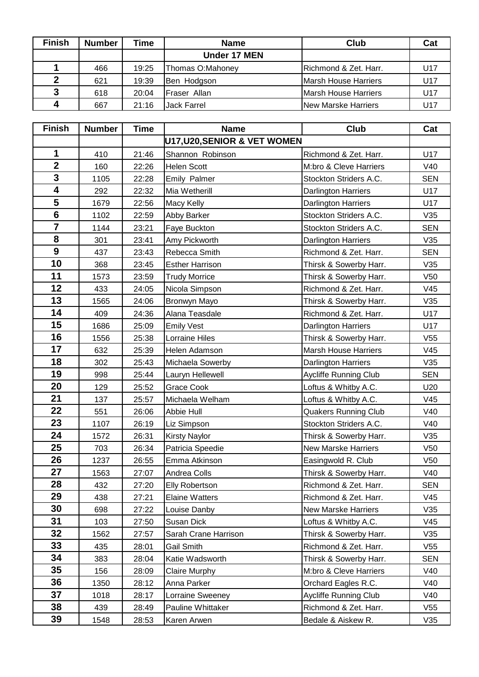| <b>Finish</b> | <b>Number</b> | ⊓me   | <b>Name</b>         | <b>Club</b>                 | Cat |
|---------------|---------------|-------|---------------------|-----------------------------|-----|
|               |               |       | <b>Under 17 MEN</b> |                             |     |
|               | 466           | 19:25 | Thomas O:Mahoney    | IRichmond & Zet. Harr.      | U17 |
|               | 621           | 19:39 | Ben Hodgson         | Marsh House Harriers        | U17 |
|               | 618           | 20:04 | Fraser Allan        | <b>Marsh House Harriers</b> | U17 |
|               | 667           | 21:16 | Jack Farrel         | <b>New Marske Harriers</b>  | U17 |

| <b>Finish</b>           | <b>Number</b> | <b>Time</b> | <b>Name</b>                  | Club                         | Cat             |
|-------------------------|---------------|-------------|------------------------------|------------------------------|-----------------|
|                         |               |             | U17, U20, SENIOR & VET WOMEN |                              |                 |
| 1                       | 410           | 21:46       | Shannon Robinson             | Richmond & Zet. Harr.        | U17             |
| $\overline{2}$          | 160           | 22:26       | <b>Helen Scott</b>           | M:bro & Cleve Harriers       | V40             |
| $\overline{\mathbf{3}}$ | 1105          | 22:28       | Emily Palmer                 | Stockton Striders A.C.       | <b>SEN</b>      |
| 4                       | 292           | 22:32       | Mia Wetherill                | <b>Darlington Harriers</b>   | U17             |
| 5                       | 1679          | 22:56       | Macy Kelly                   | Darlington Harriers          | U17             |
| $6\phantom{1}$          | 1102          | 22:59       | Abby Barker                  | Stockton Striders A.C.       | V35             |
| $\overline{7}$          | 1144          | 23:21       | Faye Buckton                 | Stockton Striders A.C.       | <b>SEN</b>      |
| 8                       | 301           | 23:41       | Amy Pickworth                | Darlington Harriers          | V35             |
| 9                       | 437           | 23:43       | Rebecca Smith                | Richmond & Zet. Harr.        | <b>SEN</b>      |
| 10                      | 368           | 23:45       | <b>Esther Harrison</b>       | Thirsk & Sowerby Harr.       | V35             |
| 11                      | 1573          | 23:59       | <b>Trudy Morrice</b>         | Thirsk & Sowerby Harr.       | V50             |
| 12                      | 433           | 24:05       | Nicola Simpson               | Richmond & Zet. Harr.        | V45             |
| 13                      | 1565          | 24:06       | Bronwyn Mayo                 | Thirsk & Sowerby Harr.       | V35             |
| 14                      | 409           | 24:36       | Alana Teasdale               | Richmond & Zet. Harr.        | U17             |
| 15                      | 1686          | 25:09       | <b>Emily Vest</b>            | Darlington Harriers          | U17             |
| 16                      | 1556          | 25:38       | <b>Lorraine Hiles</b>        | Thirsk & Sowerby Harr.       | V55             |
| 17                      | 632           | 25:39       | Helen Adamson                | <b>Marsh House Harriers</b>  | V45             |
| 18                      | 302           | 25:43       | Michaela Sowerby             | Darlington Harriers          | V35             |
| 19                      | 998           | 25:44       | Lauryn Hellewell             | <b>Aycliffe Running Club</b> | <b>SEN</b>      |
| 20                      | 129           | 25:52       | Grace Cook                   | Loftus & Whitby A.C.         | U20             |
| 21                      | 137           | 25:57       | Michaela Welham              | Loftus & Whitby A.C.         | V45             |
| 22                      | 551           | 26:06       | Abbie Hull                   | Quakers Running Club         | V40             |
| 23                      | 1107          | 26:19       | Liz Simpson                  | Stockton Striders A.C.       | V40             |
| 24                      | 1572          | 26:31       | <b>Kirsty Naylor</b>         | Thirsk & Sowerby Harr.       | V35             |
| 25                      | 703           | 26:34       | Patricia Speedie             | <b>New Marske Harriers</b>   | V50             |
| 26                      | 1237          | 26:55       | Emma Atkinson                | Easingwold R. Club           | V <sub>50</sub> |
| 27                      | 1563          | 27:07       | Andrea Colls                 | Thirsk & Sowerby Harr.       | V40             |
| 28                      | 432           | 27:20       | <b>Elly Robertson</b>        | Richmond & Zet. Harr.        | <b>SEN</b>      |
| 29                      | 438           | 27:21       | <b>Elaine Watters</b>        | Richmond & Zet. Harr.        | V45             |
| 30                      | 698           | 27:22       | Louise Danby                 | <b>New Marske Harriers</b>   | V35             |
| 31                      | 103           | 27:50       | Susan Dick                   | Loftus & Whitby A.C.         | V45             |
| 32                      | 1562          | 27:57       | Sarah Crane Harrison         | Thirsk & Sowerby Harr.       | V35             |
| 33                      | 435           | 28:01       | Gail Smith                   | Richmond & Zet. Harr.        | V <sub>55</sub> |
| 34                      | 383           | 28:04       | Katie Wadsworth              | Thirsk & Sowerby Harr.       | <b>SEN</b>      |
| 35                      | 156           | 28:09       | <b>Claire Murphy</b>         | M:bro & Cleve Harriers       | V40             |
| 36                      | 1350          | 28:12       | Anna Parker                  | Orchard Eagles R.C.          | V40             |
| 37                      | 1018          | 28:17       | Lorraine Sweeney             | <b>Aycliffe Running Club</b> | V40             |
| 38                      | 439           | 28:49       | Pauline Whittaker            | Richmond & Zet. Harr.        | V <sub>55</sub> |
| 39                      | 1548          | 28:53       | Karen Arwen                  | Bedale & Aiskew R.           | V35             |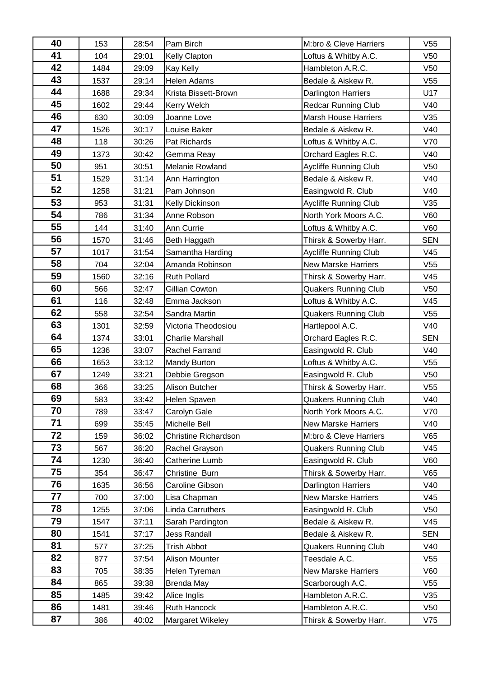| 40 | 153  | 28:54 | Pam Birch                   | M:bro & Cleve Harriers       | V <sub>55</sub> |
|----|------|-------|-----------------------------|------------------------------|-----------------|
| 41 | 104  | 29:01 | Kelly Clapton               | Loftus & Whitby A.C.         | V50             |
| 42 | 1484 | 29:09 | Kay Kelly                   | Hambleton A.R.C.             | V50             |
| 43 | 1537 | 29:14 | <b>Helen Adams</b>          | Bedale & Aiskew R.           | V55             |
| 44 | 1688 | 29:34 | Krista Bissett-Brown        | <b>Darlington Harriers</b>   | U17             |
| 45 | 1602 | 29:44 | Kerry Welch                 | <b>Redcar Running Club</b>   | V40             |
| 46 | 630  | 30:09 | Joanne Love                 | Marsh House Harriers         | V35             |
| 47 | 1526 | 30:17 | Louise Baker                | Bedale & Aiskew R.           | V40             |
| 48 | 118  | 30:26 | Pat Richards                | Loftus & Whitby A.C.         | V70             |
| 49 | 1373 | 30:42 | Gemma Reay                  | Orchard Eagles R.C.          | V40             |
| 50 | 951  | 30:51 | Melanie Rowland             | <b>Aycliffe Running Club</b> | V50             |
| 51 | 1529 | 31:14 | Ann Harrington              | Bedale & Aiskew R.           | V40             |
| 52 | 1258 | 31:21 | Pam Johnson                 | Easingwold R. Club           | V40             |
| 53 | 953  | 31:31 | Kelly Dickinson             | <b>Aycliffe Running Club</b> | V35             |
| 54 | 786  | 31:34 | Anne Robson                 | North York Moors A.C.        | V60             |
| 55 | 144  | 31:40 | Ann Currie                  | Loftus & Whitby A.C.         | V60             |
| 56 | 1570 | 31:46 | Beth Haggath                | Thirsk & Sowerby Harr.       | <b>SEN</b>      |
| 57 | 1017 | 31:54 | Samantha Harding            | <b>Aycliffe Running Club</b> | V45             |
| 58 | 704  | 32:04 | Amanda Robinson             | <b>New Marske Harriers</b>   | V55             |
| 59 | 1560 | 32:16 | <b>Ruth Pollard</b>         | Thirsk & Sowerby Harr.       | V45             |
| 60 | 566  | 32:47 | Gillian Cowton              | <b>Quakers Running Club</b>  | V50             |
| 61 | 116  | 32:48 | Emma Jackson                | Loftus & Whitby A.C.         | V45             |
| 62 | 558  | 32:54 | Sandra Martin               | <b>Quakers Running Club</b>  | V55             |
| 63 | 1301 | 32:59 | Victoria Theodosiou         | Hartlepool A.C.              | V40             |
| 64 | 1374 | 33:01 | <b>Charlie Marshall</b>     | Orchard Eagles R.C.          | <b>SEN</b>      |
| 65 | 1236 | 33:07 | Rachel Farrand              | Easingwold R. Club           | V40             |
| 66 | 1653 | 33:12 | <b>Mandy Burton</b>         | Loftus & Whitby A.C.         | V55             |
| 67 | 1249 | 33:21 | Debbie Gregson              | Easingwold R. Club           | V <sub>50</sub> |
| 68 | 366  | 33:25 | Alison Butcher              | Thirsk & Sowerby Harr.       | V55             |
| 69 | 583  | 33:42 | Helen Spaven                | <b>Quakers Running Club</b>  | V40             |
| 70 | 789  | 33:47 | Carolyn Gale                | North York Moors A.C.        | V70             |
| 71 | 699  | 35:45 | Michelle Bell               | <b>New Marske Harriers</b>   | V40             |
| 72 | 159  | 36:02 | <b>Christine Richardson</b> | M:bro & Cleve Harriers       | V65             |
| 73 | 567  | 36:20 | Rachel Grayson              | <b>Quakers Running Club</b>  | V45             |
| 74 | 1230 | 36:40 | Catherine Lumb              | Easingwold R. Club           | V60             |
| 75 | 354  | 36:47 | Christine Burn              | Thirsk & Sowerby Harr.       | V65             |
| 76 | 1635 | 36:56 | Caroline Gibson             | <b>Darlington Harriers</b>   | V40             |
| 77 | 700  | 37:00 | Lisa Chapman                | <b>New Marske Harriers</b>   | V45             |
| 78 | 1255 | 37:06 | Linda Carruthers            | Easingwold R. Club           | V50             |
| 79 | 1547 | 37:11 | Sarah Pardington            | Bedale & Aiskew R.           | V45             |
| 80 | 1541 | 37:17 | <b>Jess Randall</b>         | Bedale & Aiskew R.           | <b>SEN</b>      |
| 81 | 577  | 37:25 | <b>Trish Abbot</b>          | <b>Quakers Running Club</b>  | V40             |
| 82 | 877  | 37:54 | Alison Mounter              | Teesdale A.C.                | V <sub>55</sub> |
| 83 | 705  | 38:35 | Helen Tyreman               | <b>New Marske Harriers</b>   | V60             |
| 84 | 865  | 39:38 | <b>Brenda May</b>           | Scarborough A.C.             | V <sub>55</sub> |
| 85 | 1485 | 39:42 | Alice Inglis                | Hambleton A.R.C.             | V35             |
| 86 | 1481 | 39:46 | Ruth Hancock                | Hambleton A.R.C.             | V50             |
| 87 | 386  | 40:02 | Margaret Wikeley            | Thirsk & Sowerby Harr.       | V75             |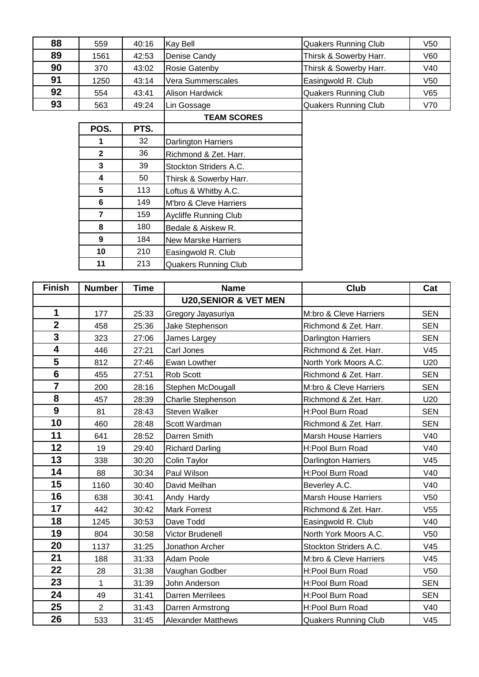| 88 | 559  | 40:16 | Kay Bell               | Quakers Running Club        | V <sub>50</sub> |
|----|------|-------|------------------------|-----------------------------|-----------------|
| 89 | 1561 | 42:53 | Denise Candy           | Thirsk & Sowerby Harr.      | V60             |
| 90 | 370  | 43:02 | <b>Rosie Gatenby</b>   | Thirsk & Sowerby Harr.      | V40             |
| 91 | 1250 | 43:14 | Vera Summerscales      | Easingwold R. Club          | V <sub>50</sub> |
| 92 | 554  | 43:41 | <b>Alison Hardwick</b> | <b>Quakers Running Club</b> | V65             |
| 93 | 563  | 49:24 | Lin Gossage            | Quakers Running Club        | V70             |

| POS.         | PTS. |                              |
|--------------|------|------------------------------|
| 1            | 32   | <b>Darlington Harriers</b>   |
| $\mathbf{2}$ | 36   | Richmond & Zet. Harr.        |
| 3            | 39   | Stockton Striders A.C.       |
| 4            | 50   | Thirsk & Sowerby Harr.       |
| 5            | 113  | Loftus & Whitby A.C.         |
| 6            | 149  | M'bro & Cleve Harriers       |
| 7            | 159  | <b>Aycliffe Running Club</b> |
| 8            | 180  | Bedale & Aiskew R.           |
| 9            | 184  | <b>New Marske Harriers</b>   |
| 10           | 210  | Easingwold R. Club           |
| 11           | 213  | <b>Quakers Running Club</b>  |

| <b>Finish</b>           | <b>Number</b>  | <b>Time</b> | <b>Name</b>                      | <b>Club</b>                 | Cat             |
|-------------------------|----------------|-------------|----------------------------------|-----------------------------|-----------------|
|                         |                |             | <b>U20, SENIOR &amp; VET MEN</b> |                             |                 |
| 1                       | 177            | 25:33       | Gregory Jayasuriya               | M:bro & Cleve Harriers      | <b>SEN</b>      |
| $\overline{2}$          | 458            | 25:36       | Jake Stephenson                  | Richmond & Zet. Harr.       | <b>SEN</b>      |
| $\overline{\mathbf{3}}$ | 323            | 27:06       | James Largey                     | Darlington Harriers         | <b>SEN</b>      |
| 4                       | 446            | 27:21       | Carl Jones                       | Richmond & Zet. Harr.       | V45             |
| 5                       | 812            | 27:46       | Ewan Lowther                     | North York Moors A.C.       | U20             |
| $6\phantom{a}$          | 455            | 27:51       | Rob Scott                        | Richmond & Zet. Harr.       | <b>SEN</b>      |
| $\overline{7}$          | 200            | 28:16       | Stephen McDougall                | M:bro & Cleve Harriers      | <b>SEN</b>      |
| 8                       | 457            | 28:39       | Charlie Stephenson               | Richmond & Zet. Harr.       | U20             |
| 9                       | 81             | 28:43       | <b>Steven Walker</b>             | H:Pool Burn Road            | <b>SEN</b>      |
| 10                      | 460            | 28:48       | Scott Wardman                    | Richmond & Zet. Harr.       | <b>SEN</b>      |
| 11                      | 641            | 28:52       | Darren Smith                     | <b>Marsh House Harriers</b> | V40             |
| 12                      | 19             | 29:40       | <b>Richard Darling</b>           | H:Pool Burn Road            | V40             |
| 13                      | 338            | 30:20       | Colin Taylor                     | Darlington Harriers         | V45             |
| 14                      | 88             | 30:34       | Paul Wilson                      | H:Pool Burn Road            | V40             |
| 15                      | 1160           | 30:40       | David Meilhan                    | Beverley A.C.               | V40             |
| 16                      | 638            | 30:41       | Andy Hardy                       | <b>Marsh House Harriers</b> | V <sub>50</sub> |
| 17                      | 442            | 30:42       | <b>Mark Forrest</b>              | Richmond & Zet. Harr.       | V55             |
| 18                      | 1245           | 30:53       | Dave Todd                        | Easingwold R. Club          | V40             |
| 19                      | 804            | 30:58       | Victor Brudenell                 | North York Moors A.C.       | V <sub>50</sub> |
| 20                      | 1137           | 31:25       | Jonathon Archer                  | Stockton Striders A.C.      | V <sub>45</sub> |
| 21                      | 188            | 31:33       | Adam Poole                       | M:bro & Cleve Harriers      | V <sub>45</sub> |
| 22                      | 28             | 31:38       | Vaughan Godber                   | H:Pool Burn Road            | V50             |
| 23                      | $\mathbf{1}$   | 31:39       | John Anderson                    | H:Pool Burn Road            | <b>SEN</b>      |
| 24                      | 49             | 31:41       | <b>Darren Merrilees</b>          | H:Pool Burn Road            | <b>SEN</b>      |
| 25                      | $\overline{2}$ | 31:43       | Darren Armstrong                 | H:Pool Burn Road            | V40             |
| 26                      | 533            | 31:45       | <b>Alexander Matthews</b>        | <b>Quakers Running Club</b> | V45             |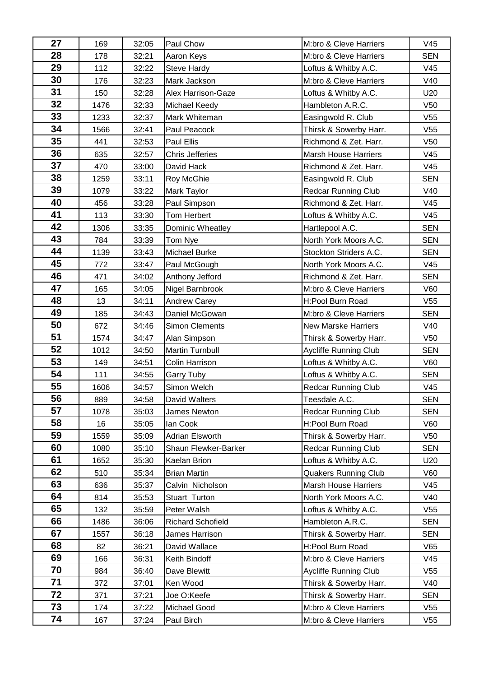| 27 | 169  | 32:05 | Paul Chow                | M:bro & Cleve Harriers       | V45             |
|----|------|-------|--------------------------|------------------------------|-----------------|
| 28 | 178  | 32:21 | Aaron Keys               | M:bro & Cleve Harriers       | <b>SEN</b>      |
| 29 | 112  | 32:22 | <b>Steve Hardy</b>       | Loftus & Whitby A.C.         | V45             |
| 30 | 176  | 32:23 | Mark Jackson             | M:bro & Cleve Harriers       | V40             |
| 31 | 150  | 32:28 | Alex Harrison-Gaze       | Loftus & Whitby A.C.         | U20             |
| 32 | 1476 | 32:33 | Michael Keedy            | Hambleton A.R.C.             | V <sub>50</sub> |
| 33 | 1233 | 32:37 | Mark Whiteman            | Easingwold R. Club           | V <sub>55</sub> |
| 34 | 1566 | 32:41 | Paul Peacock             | Thirsk & Sowerby Harr.       | V <sub>55</sub> |
| 35 | 441  | 32:53 | Paul Ellis               | Richmond & Zet. Harr.        | V50             |
| 36 | 635  | 32:57 | Chris Jefferies          | <b>Marsh House Harriers</b>  | V45             |
| 37 | 470  | 33:00 | David Hack               | Richmond & Zet. Harr.        | V45             |
| 38 | 1259 | 33:11 | Roy McGhie               | Easingwold R. Club           | <b>SEN</b>      |
| 39 | 1079 | 33:22 | <b>Mark Taylor</b>       | <b>Redcar Running Club</b>   | V40             |
| 40 | 456  | 33:28 | Paul Simpson             | Richmond & Zet. Harr.        | V45             |
| 41 | 113  | 33:30 | Tom Herbert              | Loftus & Whitby A.C.         | V45             |
| 42 | 1306 | 33:35 | Dominic Wheatley         | Hartlepool A.C.              | <b>SEN</b>      |
| 43 | 784  | 33:39 | Tom Nye                  | North York Moors A.C.        | <b>SEN</b>      |
| 44 | 1139 | 33:43 | Michael Burke            | Stockton Striders A.C.       | <b>SEN</b>      |
| 45 | 772  | 33:47 | Paul McGough             | North York Moors A.C.        | V45             |
| 46 | 471  | 34:02 | Anthony Jefford          | Richmond & Zet. Harr.        | <b>SEN</b>      |
| 47 | 165  | 34:05 | Nigel Barnbrook          | M:bro & Cleve Harriers       | V60             |
| 48 | 13   | 34:11 | <b>Andrew Carey</b>      | H:Pool Burn Road             | V <sub>55</sub> |
| 49 | 185  | 34:43 | Daniel McGowan           | M:bro & Cleve Harriers       | <b>SEN</b>      |
| 50 | 672  | 34:46 | <b>Simon Clements</b>    | <b>New Marske Harriers</b>   | V40             |
| 51 | 1574 | 34:47 | Alan Simpson             | Thirsk & Sowerby Harr.       | V <sub>50</sub> |
| 52 | 1012 | 34:50 | <b>Martin Turnbull</b>   | <b>Aycliffe Running Club</b> | <b>SEN</b>      |
| 53 | 149  | 34:51 | Colin Harrison           | Loftus & Whitby A.C.         | V60             |
| 54 | 111  | 34:55 | <b>Garry Tuby</b>        | Loftus & Whitby A.C.         | <b>SEN</b>      |
| 55 | 1606 | 34:57 | Simon Welch              | <b>Redcar Running Club</b>   | V45             |
| 56 | 889  | 34:58 | David Walters            | Teesdale A.C.                | <b>SEN</b>      |
| 57 | 1078 | 35:03 | James Newton             | Redcar Running Club          | <b>SEN</b>      |
| 58 | 16   | 35:05 | lan Cook                 | H:Pool Burn Road             | V60             |
| 59 | 1559 | 35:09 | Adrian Elsworth          | Thirsk & Sowerby Harr.       | V <sub>50</sub> |
| 60 | 1080 | 35:10 | Shaun Flewker-Barker     | <b>Redcar Running Club</b>   | <b>SEN</b>      |
| 61 | 1652 | 35:30 | Kaelan Brion             | Loftus & Whitby A.C.         | U20             |
| 62 | 510  | 35:34 | <b>Brian Martin</b>      | <b>Quakers Running Club</b>  | V60             |
| 63 | 636  | 35:37 | Calvin Nicholson         | <b>Marsh House Harriers</b>  | V45             |
| 64 | 814  | 35:53 | Stuart Turton            | North York Moors A.C.        | V40             |
| 65 | 132  | 35:59 | Peter Walsh              | Loftus & Whitby A.C.         | V <sub>55</sub> |
| 66 | 1486 | 36:06 | <b>Richard Schofield</b> | Hambleton A.R.C.             | <b>SEN</b>      |
| 67 | 1557 | 36:18 | James Harrison           | Thirsk & Sowerby Harr.       | <b>SEN</b>      |
| 68 | 82   | 36:21 | David Wallace            | H:Pool Burn Road             | V65             |
| 69 | 166  | 36:31 | Keith Bindoff            | M:bro & Cleve Harriers       | V45             |
| 70 | 984  | 36:40 | Dave Blewitt             | Aycliffe Running Club        | V <sub>55</sub> |
| 71 | 372  | 37:01 | Ken Wood                 | Thirsk & Sowerby Harr.       | V40             |
| 72 | 371  | 37:21 | Joe O:Keefe              | Thirsk & Sowerby Harr.       | <b>SEN</b>      |
| 73 | 174  | 37:22 | Michael Good             | M:bro & Cleve Harriers       | V <sub>55</sub> |
| 74 | 167  | 37:24 | Paul Birch               | M:bro & Cleve Harriers       | V <sub>55</sub> |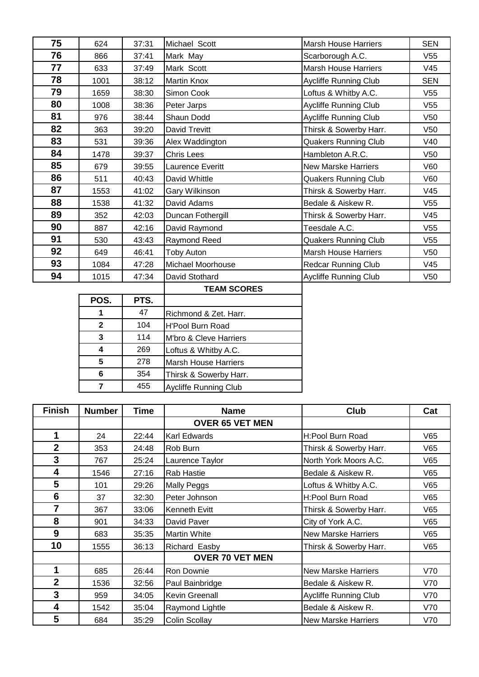| 75 | 624  | 37:31 | Michael Scott      | <b>Marsh House Harriers</b>  | <b>SEN</b>      |
|----|------|-------|--------------------|------------------------------|-----------------|
| 76 | 866  | 37:41 | Mark May           | Scarborough A.C.             | V <sub>55</sub> |
| 77 | 633  | 37:49 | Mark Scott         | <b>Marsh House Harriers</b>  | V <sub>45</sub> |
| 78 | 1001 | 38:12 | Martin Knox        | Aycliffe Running Club        | <b>SEN</b>      |
| 79 | 1659 | 38:30 | Simon Cook         | Loftus & Whitby A.C.         | V <sub>55</sub> |
| 80 | 1008 | 38:36 | Peter Jarps        | Aycliffe Running Club        | V <sub>55</sub> |
| 81 | 976  | 38:44 | Shaun Dodd         | <b>Aycliffe Running Club</b> | V <sub>50</sub> |
| 82 | 363  | 39:20 | David Trevitt      | Thirsk & Sowerby Harr.       | V <sub>50</sub> |
| 83 | 531  | 39:36 | Alex Waddington    | <b>Quakers Running Club</b>  | V40             |
| 84 | 1478 | 39:37 | Chris Lees         | Hambleton A.R.C.             | V <sub>50</sub> |
| 85 | 679  | 39:55 | Laurence Everitt   | <b>New Marske Harriers</b>   | V60             |
| 86 | 511  | 40:43 | David Whittle      | <b>Quakers Running Club</b>  | V60             |
| 87 | 1553 | 41:02 | Gary Wilkinson     | Thirsk & Sowerby Harr.       | V <sub>45</sub> |
| 88 | 1538 | 41:32 | David Adams        | Bedale & Aiskew R.           | V <sub>55</sub> |
| 89 | 352  | 42:03 | Duncan Fothergill  | Thirsk & Sowerby Harr.       | V45             |
| 90 | 887  | 42:16 | David Raymond      | Teesdale A.C.                | V <sub>55</sub> |
| 91 | 530  | 43:43 | Raymond Reed       | <b>Quakers Running Club</b>  | V <sub>55</sub> |
| 92 | 649  | 46:41 | Toby Auton         | <b>Marsh House Harriers</b>  | V <sub>50</sub> |
| 93 | 1084 | 47:28 | Michael Moorhouse  | <b>Redcar Running Club</b>   | V45             |
| 94 | 1015 | 47:34 | David Stothard     | <b>Aycliffe Running Club</b> | V <sub>50</sub> |
|    |      |       | <b>TEAM SCORES</b> |                              |                 |

|              |      | I EAINI JUUNEJ               |
|--------------|------|------------------------------|
| POS.         | PTS. |                              |
|              | 47   | Richmond & Zet. Harr.        |
| $\mathbf{2}$ | 104  | <b>H'Pool Burn Road</b>      |
| 3            | 114  | M'bro & Cleve Harriers       |
|              | 269  | Loftus & Whitby A.C.         |
| 5            | 278  | <b>Marsh House Harriers</b>  |
| 6            | 354  | Thirsk & Sowerby Harr.       |
|              | 455  | <b>Aycliffe Running Club</b> |

| <b>Finish</b>  | <b>Number</b> | <b>Time</b> | <b>Name</b>            | <b>Club</b>                  | Cat |
|----------------|---------------|-------------|------------------------|------------------------------|-----|
|                |               |             | <b>OVER 65 VET MEN</b> |                              |     |
| 1              | 24            | 22:44       | Karl Edwards           | H:Pool Burn Road             | V65 |
| $\overline{2}$ | 353           | 24:48       | Rob Burn               | Thirsk & Sowerby Harr.       | V65 |
| 3              | 767           | 25:24       | Laurence Taylor        | North York Moors A.C.        | V65 |
| 4              | 1546          | 27:16       | Rab Hastie             | Bedale & Aiskew R.           | V65 |
| 5              | 101           | 29:26       | <b>Mally Peggs</b>     | Loftus & Whitby A.C.         | V65 |
| 6              | 37            | 32:30       | Peter Johnson          | H:Pool Burn Road             | V65 |
| 7              | 367           | 33:06       | Kenneth Evitt          | Thirsk & Sowerby Harr.       | V65 |
| 8              | 901           | 34:33       | David Paver            | City of York A.C.            | V65 |
| 9              | 683           | 35:35       | <b>Martin White</b>    | <b>New Marske Harriers</b>   | V65 |
| 10             | 1555          | 36:13       | Richard Easby          | Thirsk & Sowerby Harr.       | V65 |
|                |               |             | <b>OVER 70 VET MEN</b> |                              |     |
| 1              | 685           | 26:44       | Ron Downie             | <b>New Marske Harriers</b>   | V70 |
| $\overline{2}$ | 1536          | 32:56       | Paul Bainbridge        | Bedale & Aiskew R.           | V70 |
| 3              | 959           | 34:05       | <b>Kevin Greenall</b>  | <b>Aycliffe Running Club</b> | V70 |
| 4              | 1542          | 35:04       | Raymond Lightle        | Bedale & Aiskew R.           | V70 |
| 5              | 684           | 35:29       | Colin Scollay          | <b>New Marske Harriers</b>   | V70 |